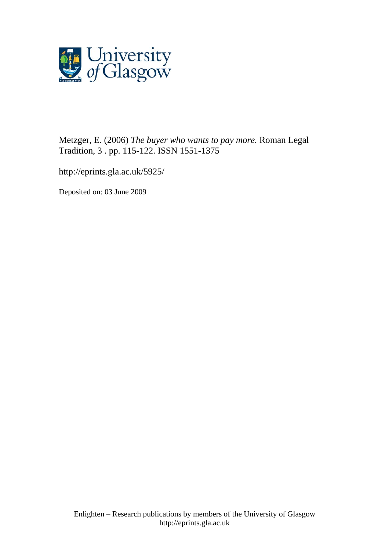

Metzger, E. (2006) *The buyer who wants to pay more.* Roman Legal Tradition, 3 . pp. 115-122. ISSN 1551-1375

http://eprints.gla.ac.uk/5925/

Deposited on: 03 June 2009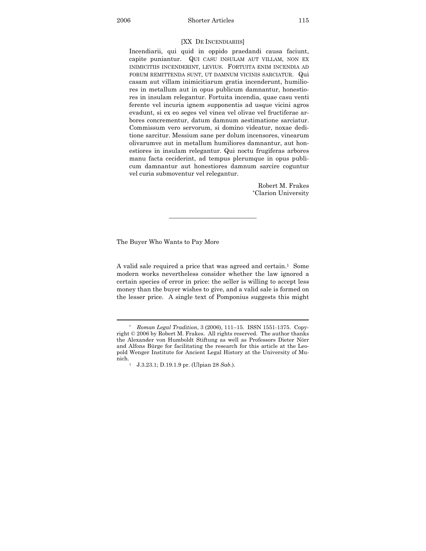Incendiarii, qui quid in oppido praedandi causa faciunt, capite puniantur. QUI CASU INSULAM AUT VILLAM, NON EX INIMICITIIS INCENDERINT, LEVIUS. FORTUITA ENIM INCENDIA AD FORUM REMITTENDA SUNT, UT DAMNUM VICINIS SARCIATUR. Qui casam aut villam inimicitiarum gratia incenderunt, humiliores in metallum aut in opus publicum damnantur, honestiores in insulam relegantur. Fortuita incendia, quae casu venti ferente vel incuria ignem supponentis ad usque vicini agros evadunt, si ex eo seges vel vinea vel olivae vel fructiferae arbores concrementur, datum damnum aestimatione sarciatur. Commissum vero servorum, si domino videatur, noxae deditione sarcitur. Messium sane per dolum incensores, vinearum olivarumve aut in metallum humiliores damnantur, aut honestiores in insulam relegantur. Qui noctu frugiferas arbores manu facta ceciderint, ad tempus plerumque in opus publicum damnantur aut honestiores damnum sarcire coguntur vel curia submoventur vel relegantur.

> Robert M. Frakes \*Clarion University

The Buyer Who Wants to Pay More

 $\overline{a}$ 

A valid sale required a price that was agreed and certain.<sup>1</sup> Some modern works nevertheless consider whether the law ignored a certain species of error in price: the seller is willing to accept less money than the buyer wishes to give, and a valid sale is formed on the lesser price. A single text of Pomponius suggests this might

——————————————

<sup>\*</sup> *Roman Legal Tradition*, 3 (2006), 111–15. ISSN 1551-1375. Copyright © 2006 by Robert M. Frakes. All rights reserved. The author thanks the Alexander von Humboldt Stiftung as well as Professors Dieter Nörr and Alfons Bürge for facilitating the research for this article at the Leopold Wenger Institute for Ancient Legal History at the University of Munich. 1 J.3.23.1; D.19.1.9 pr. (Ulpian 28 *Sab*.).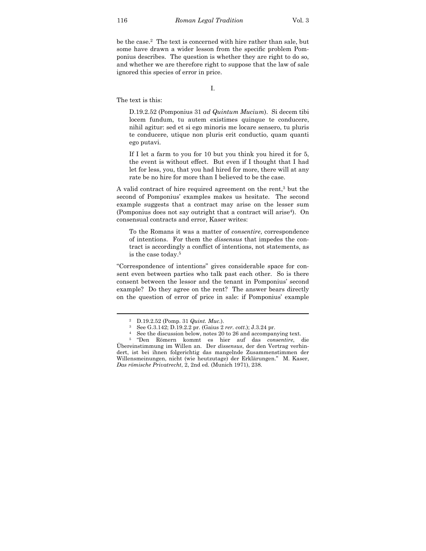be the case.<sup>2</sup> The text is concerned with hire rather than sale, but some have drawn a wider lesson from the specific problem Pomponius describes. The question is whether they are right to do so, and whether we are therefore right to suppose that the law of sale ignored this species of error in price.

I.

The text is this:

D.19.2.52 (Pomponius 31 *ad Quintum Mucium*). Si decem tibi locem fundum, tu autem existimes quinque te conducere, nihil agitur: sed et si ego minoris me locare sensero, tu pluris te conducere, utique non pluris erit conductio, quam quanti ego putavi.

If I let a farm to you for 10 but you think you hired it for 5, the event is without effect. But even if I thought that I had let for less, you, that you had hired for more, there will at any rate be no hire for more than I believed to be the case.

A valid contract of hire required agreement on the rent,3 but the second of Pomponius' examples makes us hesitate. The second example suggests that a contract may arise on the lesser sum (Pomponius does not say outright that a contract will arise<sup>4</sup>). On consensual contracts and error, Kaser writes:

To the Romans it was a matter of *consentire*, correspondence of intentions. For them the *dissensus* that impedes the contract is accordingly a conflict of intentions, not statements, as is the case today.5

"Correspondence of intentions" gives considerable space for consent even between parties who talk past each other. So is there consent between the lessor and the tenant in Pomponius' second example? Do they agree on the rent? The answer bears directly on the question of error of price in sale: if Pomponius' example

<sup>2</sup> D.19.2.52 (Pomp. 31 *Quint. Muc*.).

<sup>3</sup> See G.3.142; D.19.2.2 pr. (Gaius 2 *rer. cott*.); J.3.24 pr.

<sup>4</sup> See the discussion below, notes 20 to 26 and accompanying text.

<sup>5 &</sup>quot;Den Römern kommt es hier auf das *consentire*, die Übereinstimmung im Willen an. Der *dissensus*, der den Vertrag verhindert, ist bei ihnen folgerichtig das mangelnde Zusammenstimmen der Willensmeinungen, nicht (wie heutzutage) der Erklärungen." M. Kaser, *Das römische Privatrecht*, 2, 2nd ed. (Munich 1971), 238.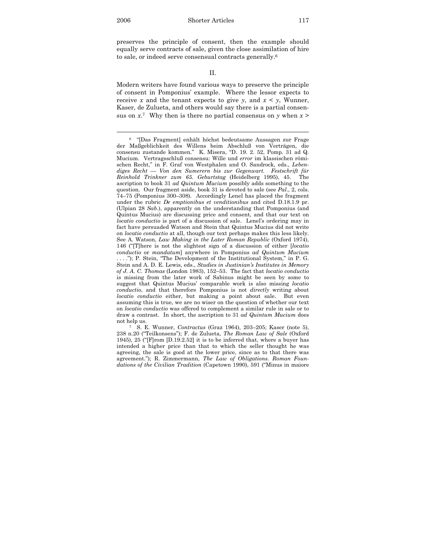$\overline{a}$ 

preserves the principle of consent, then the example should equally serve contracts of sale, given the close assimilation of hire to sale, or indeed serve consensual contracts generally.6

## II.

Modern writers have found various ways to preserve the principle of consent in Pomponius' example. Where the lessor expects to receive *x* and the tenant expects to give *y*, and  $x < y$ , Wunner, Kaser, de Zulueta, and others would say there is a partial consensus on  $x^7$ . Why then is there no partial consensus on  $\gamma$  when  $x >$ 

<sup>6</sup> "[Das Fragment] enhält höchst bedeutsame Aussagen zur Frage der Maßgeblichkeit des Willens beim Abschluß von Verträgen, die consensu zustande kommen." K. Misera, "D. 19. 2. 52, Pomp. 31 ad Q. Mucium. Vertragsschluß consensu: Wille und *error* im klassischen römischen Recht," in F. Graf von Westphalen and O. Sandrock, eds., *Lebendiges Recht — Von den Sumerern bis zur Gegenwart. Festschrift für Reinhold Trinkner zum 65. Geburtstag* (Heidelberg 1995), 45. The ascription to book 31 *ad Quintum Mucium* possibly adds something to the question. Our fragment aside, book 31 is devoted to sale (see *Pal*., 2, cols. 74–75 (Pomponius 300–308). Accordingly Lenel has placed the fragment under the rubric *De emptionibus et venditionibus* and cited D.18.1.9 pr. (Ulpian 28 *Sab*.), apparently on the understanding that Pomponius (and Quintus Mucius) are discussing price and consent, and that our text on *locatio conductio* is part of a discussion of sale. Lenel's ordering may in fact have persuaded Watson and Stein that Quintus Mucius did not write on *locatio conductio* at all, though our text perhaps makes this less likely. See A. Watson, *Law Making in the Later Roman Republic* (Oxford 1974), 146 ("[T]here is not the slightest sign of a discussion of either [*locatio conductio* or *mandatum*] anywhere in Pomponius *ad Quintum Mucium* . . . ."); P. Stein, "The Development of the Institutional System," in P. G. Stein and A. D. E. Lewis, eds., *Studies in Justinian's Institutes in Memory of J. A. C. Thomas* (London 1983), 152–53. The fact that *locatio conductio* is missing from the later work of Sabinus might be seen by some to suggest that Quintus Mucius' comparable work is also missing *locatio conductio*, and that therefore Pomponius is not *directly* writing about *locatio conductio* either, but making a point about sale. But even assuming this is true, we are no wiser on the question of whether our text on *locatio conductio* was offered to complement a similar rule in sale or to draw a contrast. In short, the ascription to 31 *ad Quintum Mucium* does not help us.

<sup>7</sup> S. E. Wunner, *Contractus* (Graz 1964), 203–205; Kaser (note 5), 238 n.20 ("Teilkonsens"); F. de Zulueta, *The Roman Law of Sale* (Oxford 1945), 25 ("[F]rom [D.19.2.52] it is to be inferred that, where a buyer has intended a higher price than that to which the seller thought he was agreeing, the sale is good at the lower price, since as to that there was agreement."); R. Zimmermann, *The Law of Obligations. Roman Foundations of the Civilian Tradition* (Capetown 1990), 591 ("Minus in maiore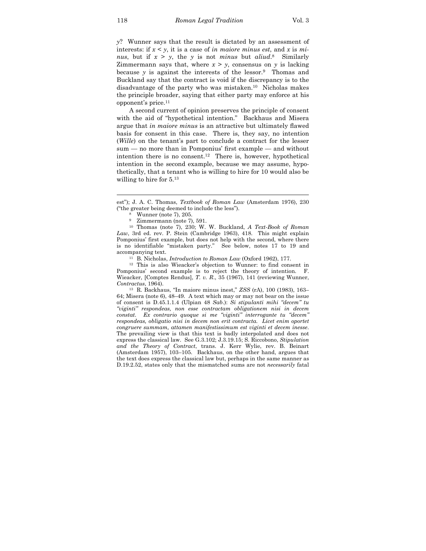*y*? Wunner says that the result is dictated by an assessment of interests: if *x* < *y*, it is a case of *in maiore minus est*, and *x* is *minus*, but if  $x > y$ , the *y* is not *minus* but *aliud*.<sup>8</sup> Similarly Zimmermann says that, where  $x > y$ , consensus on *y* is lacking because *y* is against the interests of the lessor.<sup>9</sup> Thomas and Buckland say that the contract is void if the discrepancy is to the disadvantage of the party who was mistaken.10 Nicholas makes the principle broader, saying that either party may enforce at his opponent's price.11

 A second current of opinion preserves the principle of consent with the aid of "hypothetical intention." Backhaus and Misera argue that *in maiore minus* is an attractive but ultimately flawed basis for consent in this case. There is, they say, no intention (*Wille*) on the tenant's part to conclude a contract for the lesser sum — no more than in Pomponius' first example — and without intention there is no consent.<sup>12</sup> There is, however, hypothetical intention in the second example, because we may assume, hypothetically, that a tenant who is willing to hire for 10 would also be willing to hire for  $5^{13}$ 

est"); J. A. C. Thomas, *Textbook of Roman Law* (Amsterdam 1976), 230 ("the greater being deemed to include the less").

<sup>9</sup> Zimmermann (note 7), 591.

<sup>10</sup> Thomas (note 7), 230; W. W. Buckland, *A Text-Book of Roman Law*, 3rd ed. rev. P. Stein (Cambridge 1963), 418. This might explain Pomponius' first example, but does not help with the second, where there is no identifiable "mistaken party." See below, notes 17 to 19 and accompanying text.

<sup>11</sup> B. Nicholas, *Introduction to Roman Law* (Oxford 1962), 177.

<sup>12</sup> This is also Wieacker's objection to Wunner: to find consent in Pomponius' second example is to reject the theory of intention. F. Wieacker, [Comptes Rendus], *T. v. R*., 35 (1967), 141 (reviewing Wunner, *Contractus*, 1964).

<sup>13</sup> R. Backhaus, "In maiore minus inest," *ZSS* (rA), 100 (1983), 163– 64; Misera (note 6), 48–49. A text which may or may not bear on the issue of consent is D.45.1.1.4 (Ulpian 48 *Sab*.): *Si stipulanti mihi "decem" tu "viginti" respondeas, non esse contractam obligationem nisi in decem constat. Ex contrario quoque si me "viginti" interrogante tu "decem" respondeas, obligatio nisi in decem non erit contracta. Licet enim oportet congruere summam, attamen manifestissimum est viginti et decem inesse*. The prevailing view is that this text is badly interpolated and does not express the classical law. See G.3.102; J.3.19.15; S. Riccobono, *Stipulation and the Theory of Contract*, trans. J. Kerr Wylie, rev. B. Beinart (Amsterdam 1957), 103–105. Backhaus, on the other hand, argues that the text does express the classical law but, perhaps in the same manner as D.19.2.52, states only that the mismatched sums are not *necessarily* fatal

<sup>8</sup> Wunner (note 7), 205.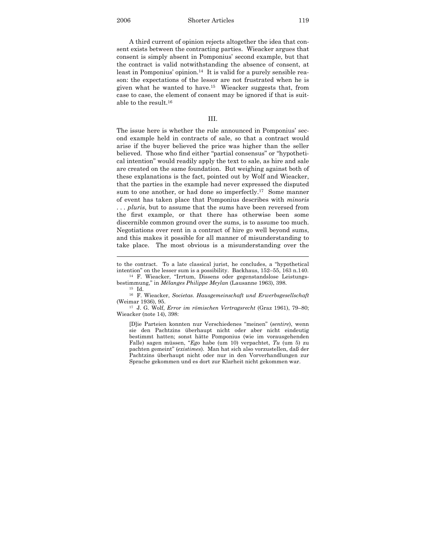2006 Shorter Articles 119

 A third current of opinion rejects altogether the idea that consent exists between the contracting parties. Wieacker argues that consent is simply absent in Pomponius' second example, but that the contract is valid notwithstanding the absence of consent, at least in Pomponius' opinion.<sup>14</sup> It is valid for a purely sensible reason: the expectations of the lessor are not frustrated when he is given what he wanted to have.15 Wieacker suggests that, from case to case, the element of consent may be ignored if that is suitable to the result.16

## III.

The issue here is whether the rule announced in Pomponius' second example held in contracts of sale, so that a contract would arise if the buyer believed the price was higher than the seller believed. Those who find either "partial consensus" or "hypothetical intention" would readily apply the text to sale, as hire and sale are created on the same foundation. But weighing against both of these explanations is the fact, pointed out by Wolf and Wieacker, that the parties in the example had never expressed the disputed sum to one another, or had done so imperfectly.<sup>17</sup> Some manner of event has taken place that Pomponius describes with *minoris* . . . *pluris*, but to assume that the sums have been reversed from the first example, or that there has otherwise been some discernible common ground over the sums, is to assume too much. Negotiations over rent in a contract of hire go well beyond sums, and this makes it possible for all manner of misunderstanding to take place. The most obvious is a misunderstanding over the

to the contract. To a late classical jurist, he concludes, a "hypothetical intention" on the lesser sum is a possibility. Backhaus, 152–55, 163 n.140.

<sup>14</sup> F. Wieacker, "Irrtum, Dissens oder gegenstandslose Leistungsbestimmung," in *Mélanges Philippe Meylan* (Lausanne 1963), 398.

<sup>15</sup> Id.

<sup>16</sup> F. Wieacker, *Societas. Hausgemeinschaft und Erwerbsgesellschaft* (Weimar 1936), 95. 17 J. G. Wolf, *Error im römischen Vertragsrecht* (Graz 1961), 79–80;

Wieacker (note 14), 398:

<sup>[</sup>D]ie Parteien konnten nur Verschiedenes "meinen" (*sentire*), wenn sie den Pachtzins überhaupt nicht oder aber nicht eindeutig bestimmt hatten; sonst hätte Pomponius (wie im vorausgehenden Falle) sagen müssen, "*Ego* habe (um 10) verpachtet, *Tu* (um 5) zu pachten gemeint" (*existimes*). Man hat sich also vorzustellen, daß der Pachtzins überhaupt nicht oder nur in den Vorverhandlungen zur Sprache gekommen und es dort zur Klarheit nicht gekommen war.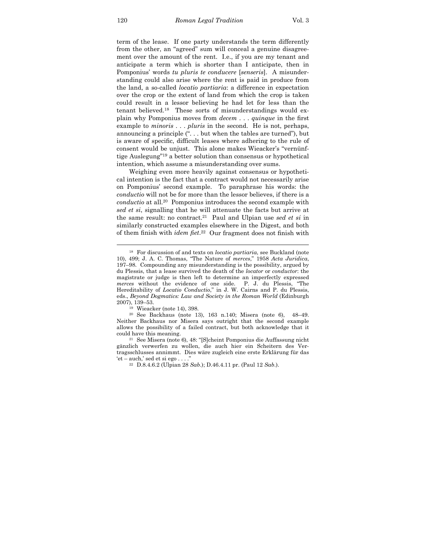term of the lease. If one party understands the term differently from the other, an "agreed" sum will conceal a genuine disagreement over the amount of the rent. I.e., if you are my tenant and anticipate a term which is shorter than I anticipate, then in Pomponius' words *tu pluris te conducere* [*senseris*]. A misunderstanding could also arise where the rent is paid in produce from the land, a so-called *locatio partiaria*: a difference in expectation over the crop or the extent of land from which the crop is taken could result in a lessor believing he had let for less than the tenant believed.18 These sorts of misunderstandings would explain why Pomponius moves from *decem* . . . *quinque* in the first example to *minoris* . . . *pluris* in the second. He is not, perhaps, announcing a principle (". . . but when the tables are turned"), but is aware of specific, difficult leases where adhering to the rule of consent would be unjust. This alone makes Wieacker's "vernünftige Auslegung"19 a better solution than consensus or hypothetical intention, which assume a misunderstanding over sums.

 Weighing even more heavily against consensus or hypothetical intention is the fact that a contract would not necessarily arise on Pomponius' second example. To paraphrase his words: the *conductio* will not be for more than the lessor believes, if there is a *conductio* at all.20 Pomponius introduces the second example with *sed et si*, signalling that he will attenuate the facts but arrive at the same result: no contract.21 Paul and Ulpian use *sed et si* in similarly constructed examples elsewhere in the Digest, and both of them finish with *idem fiet*. 22 Our fragment does not finish with

<sup>18</sup> For discussion of and texts on *locatio partiaria*, see Buckland (note 10), 499; J. A. C. Thomas, "The Nature of *merces*," 1958 *Acta Juridica*, 197–98. Compounding any misunderstanding is the possibility, argued by du Plessis, that a lease survived the death of the *locator* or *conductor*: the magistrate or judge is then left to determine an imperfectly expressed *merces* without the evidence of one side. P. J. du Plessis, "The Hereditability of *Locatio Conductio*," in J. W. Cairns and P. du Plessis, eds., *Beyond Dogmatics: Law and Society in the Roman World* (Edinburgh

<sup>&</sup>lt;sup>19</sup> Wieacker (note 14), 398.

<sup>20</sup> See Backhaus (note 13), 163 n.140; Misera (note 6), 48–49. Neither Backhaus nor Misera says outright that the second example allows the possibility of a failed contract, but both acknowledge that it could have this meaning. 21 See Misera (note 6), 48: "[S]cheint Pomponius die Auffassung nicht

gänzlich verwerfen zu wollen, die auch hier ein Scheitern des Vertragsschlusses annimmt. Dies wäre zugleich eine erste Erklärung für das 'et – auch,' sed et si ego . . . ." 22 D.8.4.6.2 (Ulpian 28 *Sab*.); D.46.4.11 pr. (Paul 12 *Sab*.).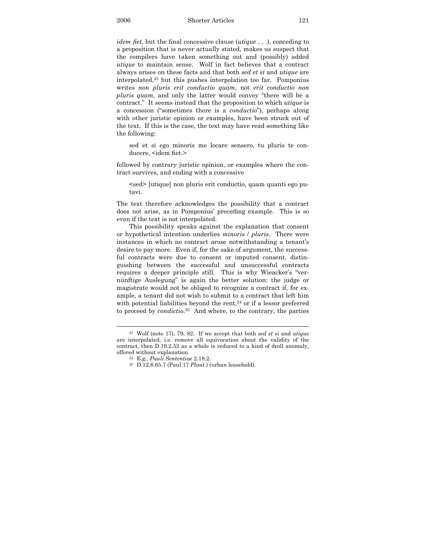*idem fiet*, but the final concessive clause (*utique* . . .), conceding to a proposition that is never actually stated, makes us suspect that the compilers have taken something out and (possibly) added *utique* to maintain sense. Wolf in fact believes that a contract always arises on these facts and that both *sed et si* and *utique* are interpolated,23 but this pushes interpolation too far. Pomponius writes *non pluris erit conductio quam*, not *erit conductio non pluris quam*, and only the latter would convey "there will be a contract." It seems instead that the proposition to which *utique* is a concession ("sometimes there is a *conductio*"), perhaps along with other juristic opinion or examples, have been struck out of the text. If this is the case, the text may have read something like the following:

sed et si ego minoris me locare sensero, tu pluris te conducere, <idem fiet.>

followed by contrary juristic opinion, or examples where the contract survives, and ending with a concessive

<sed> [utique] non pluris erit conductio, quam quanti ego putavi.

The text therefore acknowledges the possibility that a contract does not arise, as in Pomponius' preceding example. This is so even if the text is not interpolated.

 This possibility speaks against the explanation that consent or hypothetical intention underlies *minoris* / *pluris*. There were instances in which no contract arose notwithstanding a tenant's desire to pay more. Even if, for the sake of argument, the successful contracts were due to consent or imputed consent, distinguishing between the successful and unsuccessful contracts requires a deeper principle still. This is why Wieacker's "vernünftige Auslegung" is again the better solution: the judge or magistrate would not be obliged to recognize a contract if, for example, a tenant did not wish to submit to a contract that left him with potential liabilities beyond the rent, $24$  or if a lessor preferred to proceed by *condictio*. 25 And where, to the contrary, the parties

<sup>23</sup> Wolf (note 17), 79, 82. If we accept that both *sed et si* and *utique* are interpolated, i.e. remove all equivocation about the validity of the contract, then D.19.2.52 as a whole is reduced to a kind of droll anomaly, offered without explanation. 24 E.g., *Pauli Sententiae* 2.18.2. 25 D.12.6.65.7 (Paul 17 *Plaut*.) (urban leasehold).